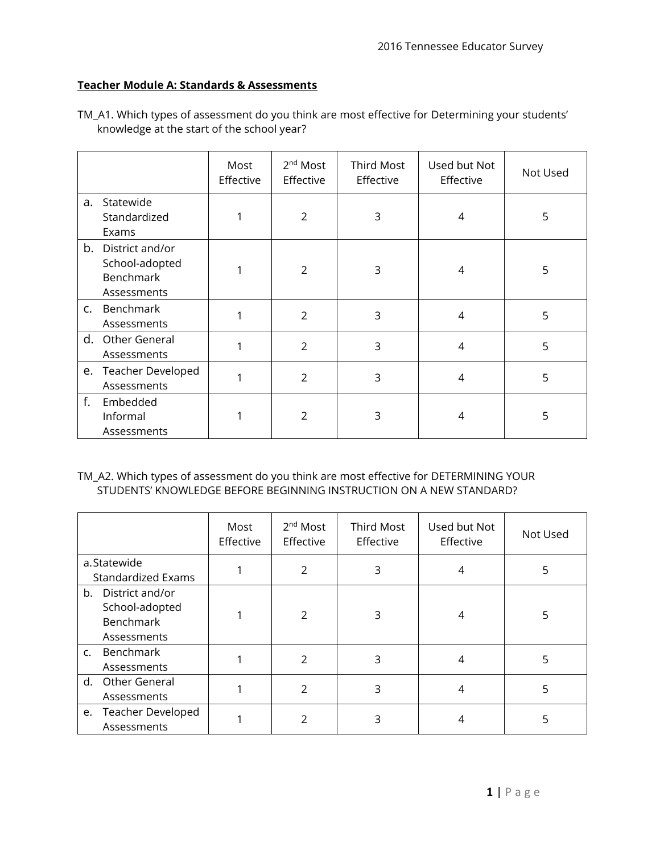# **Teacher Module A: Standards & Assessments**

|    |                                                                      | Most<br>Effective | 2 <sup>nd</sup> Most<br>Effective | <b>Third Most</b><br>Effective | Used but Not<br>Effective | Not Used |
|----|----------------------------------------------------------------------|-------------------|-----------------------------------|--------------------------------|---------------------------|----------|
| a. | Statewide<br>Standardized<br>Exams                                   |                   | $\overline{2}$                    | 3                              | 4                         | 5        |
| b. | District and/or<br>School-adopted<br><b>Benchmark</b><br>Assessments |                   | $\overline{2}$                    | 3                              | 4                         | 5        |
|    | c. Benchmark<br>Assessments                                          |                   | $\overline{2}$                    | 3                              | $\overline{4}$            | 5        |
| d. | Other General<br>Assessments                                         |                   | $\overline{2}$                    | 3                              | 4                         | 5        |
|    | e. Teacher Developed<br>Assessments                                  | 1                 | $\overline{2}$                    | 3                              | 4                         | 5        |
| f. | Embedded<br>Informal<br>Assessments                                  |                   | $\overline{2}$                    | 3                              | 4                         | 5        |

TM\_A1. Which types of assessment do you think are most effective for Determining your students' knowledge at the start of the school year?

### TM\_A2. Which types of assessment do you think are most effective for DETERMINING YOUR STUDENTS' KNOWLEDGE BEFORE BEGINNING INSTRUCTION ON A NEW STANDARD?

|                                                                            | Most<br>Effective | 2 <sup>nd</sup> Most<br>Effective | <b>Third Most</b><br>Effective | Used but Not<br>Effective | Not Used |
|----------------------------------------------------------------------------|-------------------|-----------------------------------|--------------------------------|---------------------------|----------|
| a.Statewide<br><b>Standardized Exams</b>                                   |                   | $\mathcal{P}$                     | 3                              | 4                         | 5        |
| District and/or<br>b.<br>School-adopted<br><b>Benchmark</b><br>Assessments |                   | $\mathfrak{p}$                    | 3                              | 4                         | 5        |
| Benchmark<br>C.<br>Assessments                                             |                   | $\mathfrak{D}$                    | 3                              | 4                         | 5        |
| Other General<br>d.<br>Assessments                                         |                   | 2                                 | 3                              | 4                         | 5        |
| e. Teacher Developed<br>Assessments                                        |                   | 2                                 | 3                              | 4                         | 5        |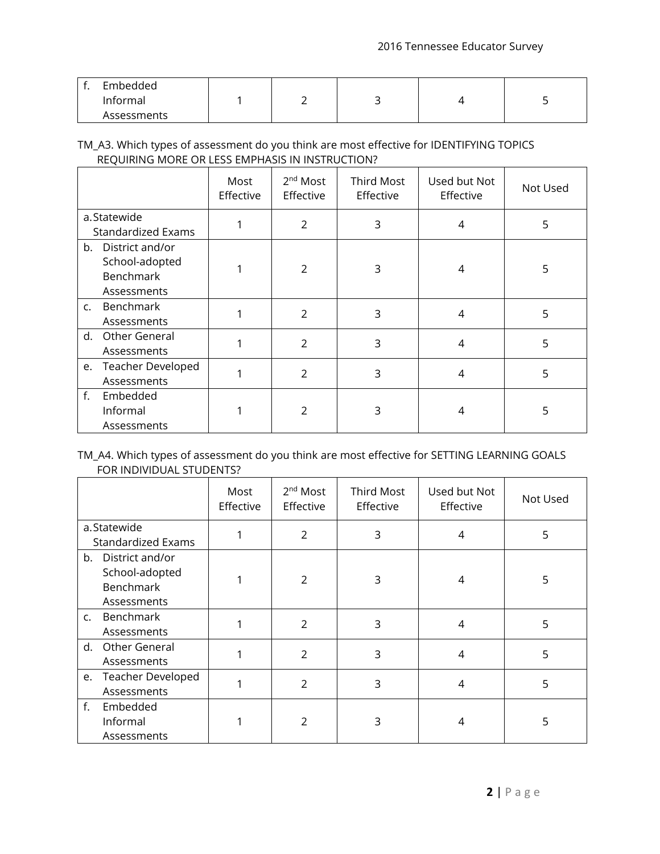| Embedded<br>Informal |  |  |  |
|----------------------|--|--|--|
| Assessments          |  |  |  |

# TM\_A3. Which types of assessment do you think are most effective for IDENTIFYING TOPICS REQUIRING MORE OR LESS EMPHASIS IN INSTRUCTION?

|                                                                  | Most<br>Effective | 2 <sup>nd</sup> Most<br>Effective | <b>Third Most</b><br>Effective | Used but Not<br>Effective | Not Used |
|------------------------------------------------------------------|-------------------|-----------------------------------|--------------------------------|---------------------------|----------|
| a.Statewide<br><b>Standardized Exams</b>                         |                   | $\overline{2}$                    | 3                              | 4                         | 5        |
| b. District and/or<br>School-adopted<br>Benchmark<br>Assessments |                   | $\mathcal{P}$                     | 3                              | 4                         | 5        |
| Benchmark<br>C.<br>Assessments                                   |                   | $\overline{2}$                    | 3                              | 4                         | 5        |
| Other General<br>d.<br>Assessments                               |                   | $\overline{2}$                    | 3                              | 4                         | 5        |
| e. Teacher Developed<br>Assessments                              |                   | $\overline{2}$                    | 3                              | 4                         | 5        |
| f.<br>Embedded<br>Informal<br>Assessments                        |                   | 2                                 | 3                              | 4                         | 5        |

### TM\_A4. Which types of assessment do you think are most effective for SETTING LEARNING GOALS FOR INDIVIDUAL STUDENTS?

|                                                                  | Most<br>Effective | 2 <sup>nd</sup> Most<br>Effective | Third Most<br>Effective | Used but Not<br>Effective | Not Used |
|------------------------------------------------------------------|-------------------|-----------------------------------|-------------------------|---------------------------|----------|
| a.Statewide<br><b>Standardized Exams</b>                         |                   | $\overline{2}$                    | 3                       | 4                         | 5        |
| b. District and/or<br>School-adopted<br>Benchmark<br>Assessments |                   | 2                                 | 3                       | 4                         | 5        |
| c. Benchmark<br>Assessments                                      |                   | $\mathfrak{D}$                    | 3                       | 4                         | 5        |
| Other General<br>d.<br>Assessments                               |                   | $\overline{2}$                    | 3                       | 4                         | 5        |
| e. Teacher Developed<br>Assessments                              |                   | 2                                 | 3                       | 4                         | 5        |
| f.<br>Embedded<br>Informal<br>Assessments                        |                   | $\overline{2}$                    | 3                       | 4                         | 5        |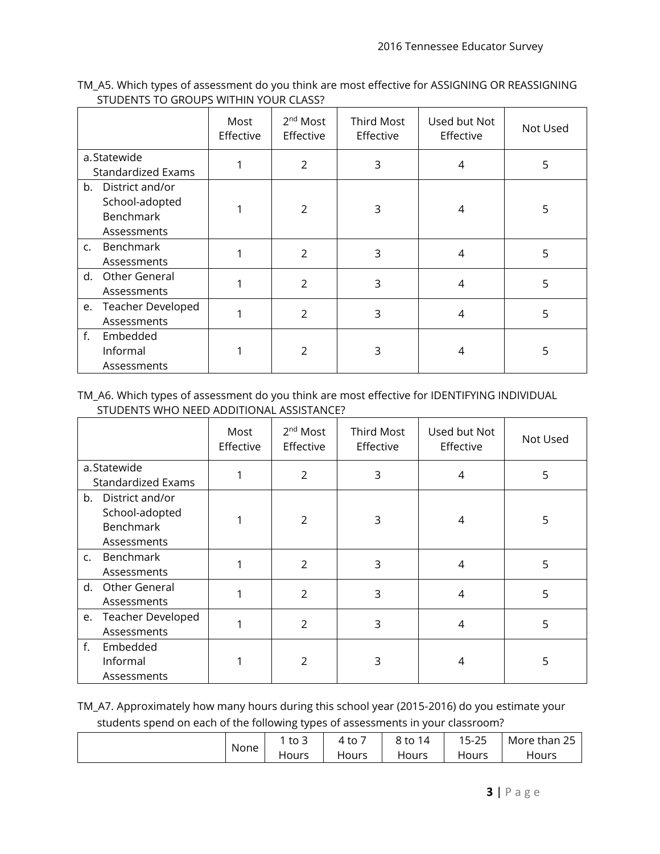TM\_A5. Which types of assessment do you think are most effective for ASSIGNING OR REASSIGNING STUDENTS TO GROUPS WITHIN YOUR CLASS?

|                                          | Most<br>Effective | 2 <sup>nd</sup> Most<br>Effective | Third Most<br>Effective | Used but Not<br>Effective | Not Used |
|------------------------------------------|-------------------|-----------------------------------|-------------------------|---------------------------|----------|
| a.Statewide<br><b>Standardized Exams</b> |                   | $\overline{2}$                    | 3                       | 4                         | 5        |
| b. District and/or                       |                   |                                   |                         |                           |          |
| School-adopted                           |                   | $\mathcal{P}$                     | 3                       | 4                         | 5        |
| Benchmark                                |                   |                                   |                         |                           |          |
| Assessments                              |                   |                                   |                         |                           |          |
| c. Benchmark                             |                   | $\overline{2}$                    | 3                       | $\overline{4}$            | 5        |
| Assessments                              |                   |                                   |                         |                           |          |
| Other General<br>d.                      |                   | $\overline{2}$                    | 3                       | 4                         | 5        |
| Assessments                              |                   |                                   |                         |                           |          |
| e. Teacher Developed                     |                   | $\overline{2}$                    | 3                       | 4                         | 5        |
| Assessments                              |                   |                                   |                         |                           |          |
| f.<br>Embedded                           |                   |                                   |                         |                           |          |
| Informal                                 |                   | $\mathcal{P}$                     | 3                       | 4                         | 5        |
| Assessments                              |                   |                                   |                         |                           |          |

#### TM\_A6. Which types of assessment do you think are most effective for IDENTIFYING INDIVIDUAL STUDENTS WHO NEED ADDITIONAL ASSISTANCE?

|                                                                         | Most<br>Effective | 2 <sup>nd</sup> Most<br>Effective | <b>Third Most</b><br>Effective | Used but Not<br>Effective | Not Used |
|-------------------------------------------------------------------------|-------------------|-----------------------------------|--------------------------------|---------------------------|----------|
| a.Statewide<br><b>Standardized Exams</b>                                |                   | 2                                 | 3                              | 4                         | 5        |
| b. District and/or<br>School-adopted<br><b>Benchmark</b><br>Assessments |                   | 2                                 | 3                              | 4                         | 5        |
| Benchmark<br>C.<br>Assessments                                          |                   | $\overline{2}$                    | 3                              | 4                         | 5        |
| Other General<br>d.<br>Assessments                                      |                   | 2                                 | 3                              | 4                         | 5        |
| e. Teacher Developed<br>Assessments                                     |                   | $\overline{2}$                    | 3                              | 4                         | 5        |
| f.<br>Embedded<br>Informal<br>Assessments                               |                   | C                                 | 3                              | 4                         | 5        |

TM\_A7. Approximately how many hours during this school year (2015-2016) do you estimate your students spend on each of the following types of assessments in your classroom?

|      | ___       |       |            |                            |                                 |
|------|-----------|-------|------------|----------------------------|---------------------------------|
|      | -<br>to 3 | 4 to  | 8 to<br>14 | $\sim$ $\sim$<br>$15 - 25$ | $\sim$ $\sim$<br>More than<br>– |
| None | Hours     | Hours | Hours      | Hours                      | Hours                           |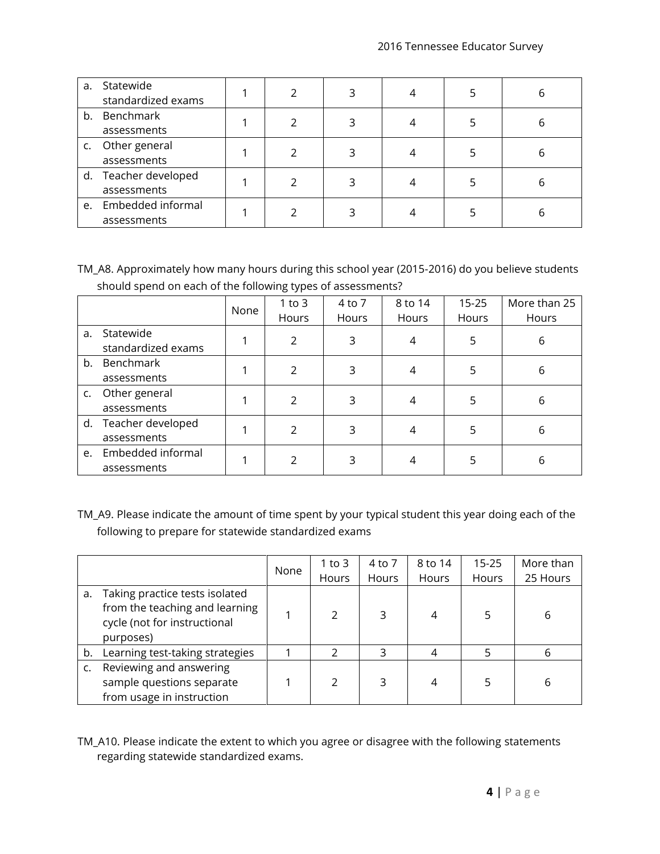| а. | Statewide<br>standardized exams     |  | 3 | 5 | b |
|----|-------------------------------------|--|---|---|---|
|    | b. Benchmark<br>assessments         |  | 3 |   | b |
| C. | Other general<br>assessments        |  |   |   | b |
|    | d. Teacher developed<br>assessments |  | 3 |   | b |
|    | e. Embedded informal<br>assessments |  |   |   | h |

TM\_A8. Approximately how many hours during this school year (2015-2016) do you believe students should spend on each of the following types of assessments?

|    |                      | None | $1$ to $3$ | 4 to 7 | 8 to 14 | $15 - 25$ | More than 25 |
|----|----------------------|------|------------|--------|---------|-----------|--------------|
|    |                      |      | Hours      | Hours  | Hours   | Hours     | Hours        |
| a. | Statewide            |      | 2          | 3      | 4       | 5         | 6            |
|    | standardized exams   |      |            |        |         |           |              |
| b. | Benchmark            |      | 2          | 3      | 4       | 5         | 6            |
|    | assessments          |      |            |        |         |           |              |
| C. | Other general        |      | 2          | 3      | 4       | 5         | 6            |
|    | assessments          |      |            |        |         |           |              |
|    | d. Teacher developed |      | 2          | 3      | 4       | 5         | 6            |
|    | assessments          |      |            |        |         |           |              |
| e. | Embedded informal    |      | 2          | 3      |         | 5         | 6            |
|    | assessments          |      |            |        |         |           |              |

TM\_A9. Please indicate the amount of time spent by your typical student this year doing each of the following to prepare for statewide standardized exams

|    |                                                                                                               | None | 1 to 3 | 4 to 7 | 8 to 14 | $15 - 25$ | More than |
|----|---------------------------------------------------------------------------------------------------------------|------|--------|--------|---------|-----------|-----------|
|    |                                                                                                               |      | Hours  | Hours  | Hours   | Hours     | 25 Hours  |
| a. | Taking practice tests isolated<br>from the teaching and learning<br>cycle (not for instructional<br>purposes) |      | C      | 3      | 4       |           | 6         |
| b. | Learning test-taking strategies                                                                               |      | フ      | 3      |         | 5         | 6         |
|    | Reviewing and answering<br>sample questions separate<br>from usage in instruction                             |      | 2      | 3      | 4       |           | 6         |

TM\_A10. Please indicate the extent to which you agree or disagree with the following statements regarding statewide standardized exams.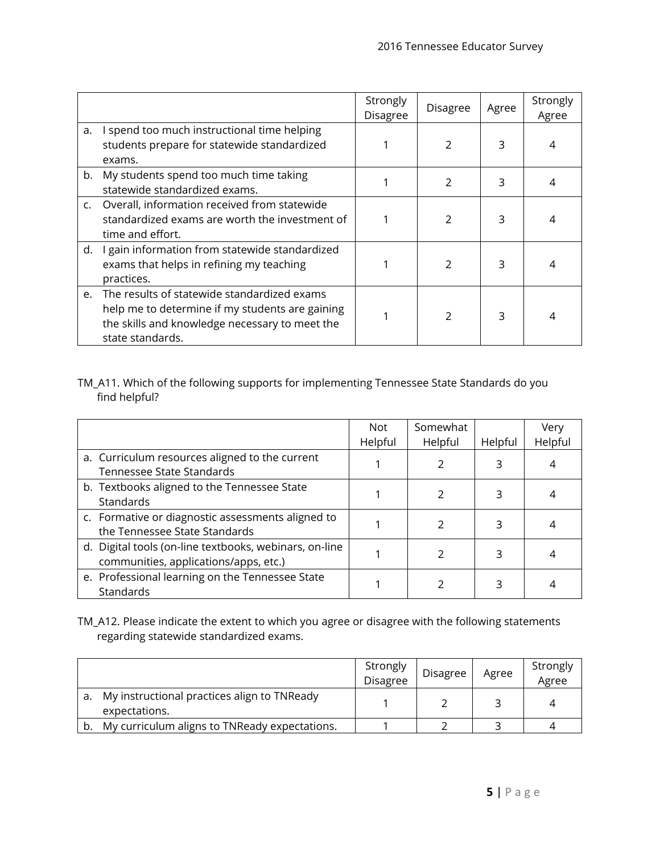|               |                                                                                                                                                                         | Strongly<br><b>Disagree</b> | Disagree      | Agree | Strongly<br>Agree |
|---------------|-------------------------------------------------------------------------------------------------------------------------------------------------------------------------|-----------------------------|---------------|-------|-------------------|
| a.            | I spend too much instructional time helping<br>students prepare for statewide standardized<br>exams.                                                                    |                             | $\mathcal{P}$ | 3     | 4                 |
| b.            | My students spend too much time taking<br>statewide standardized exams.                                                                                                 |                             | $\mathcal{P}$ | 3     | 4                 |
| $C_{\bullet}$ | Overall, information received from statewide<br>standardized exams are worth the investment of<br>time and effort.                                                      |                             | $\mathcal{P}$ | 3     |                   |
| d.            | I gain information from statewide standardized<br>exams that helps in refining my teaching<br>practices.                                                                |                             | $\mathcal{P}$ | 3     | 4                 |
|               | e. The results of statewide standardized exams<br>help me to determine if my students are gaining<br>the skills and knowledge necessary to meet the<br>state standards. |                             | $\mathcal{P}$ | 3     | 4                 |

TM\_A11. Which of the following supports for implementing Tennessee State Standards do you find helpful?

|                                                                                                 | Not     | Somewhat |         | Very    |
|-------------------------------------------------------------------------------------------------|---------|----------|---------|---------|
|                                                                                                 | Helpful | Helpful  | Helpful | Helpful |
| a. Curriculum resources aligned to the current<br>Tennessee State Standards                     |         |          | 3       |         |
| b. Textbooks aligned to the Tennessee State<br>Standards                                        |         |          | 3       |         |
| c. Formative or diagnostic assessments aligned to<br>the Tennessee State Standards              |         |          | 3       |         |
| d. Digital tools (on-line textbooks, webinars, on-line<br>communities, applications/apps, etc.) |         |          | 3       |         |
| e. Professional learning on the Tennessee State<br>Standards                                    |         |          | 3       |         |

TM\_A12. Please indicate the extent to which you agree or disagree with the following statements regarding statewide standardized exams.

|                                                              | Strongly<br><b>Disagree</b> | Disagree | Agree | Strongly<br>Agree |
|--------------------------------------------------------------|-----------------------------|----------|-------|-------------------|
| My instructional practices align to TNReady<br>expectations. |                             |          |       |                   |
| My curriculum aligns to TNReady expectations.                |                             |          |       |                   |